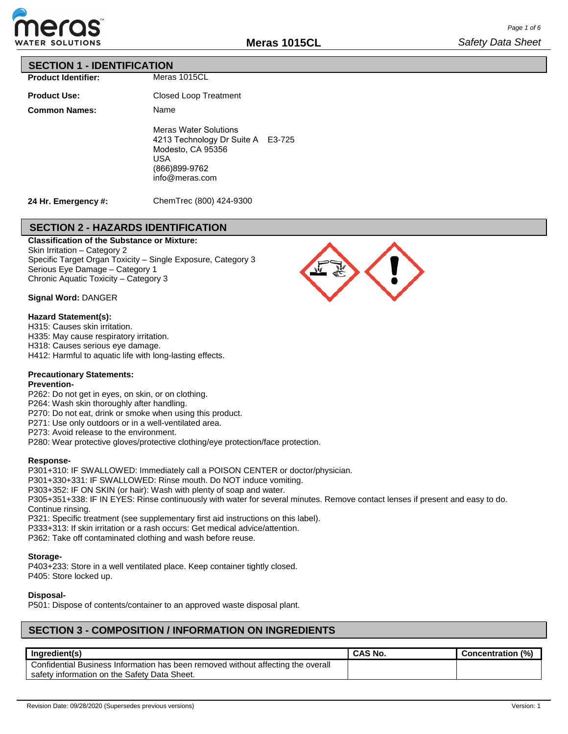

#### **SECTION 1 - IDENTIFICATION**

**Product Identifier:**

**Product Use: Common Names:** Meras 1015CL

Closed Loop Treatment Name Meras Water Solutions 4213 Technology Dr Suite A E3-725 Modesto, CA 95356 USA (866)899-9762 info@meras.com

**24 Hr. Emergency #:**

ChemTrec (800) 424-9300

# **SECTION 2 - HAZARDS IDENTIFICATION**

**Classification of the Substance or Mixture:**

Skin Irritation – Category 2 Specific Target Organ Toxicity – Single Exposure, Category 3 Serious Eye Damage – Category 1 Chronic Aquatic Toxicity – Category 3

#### **Signal Word:** DANGER

#### **Hazard Statement(s):**

- H315: Causes skin irritation.
- H335: May cause respiratory irritation.
- H318: Causes serious eye damage.
- H412: Harmful to aquatic life with long-lasting effects.

#### **Precautionary Statements:**

#### **Prevention-**

- P262: Do not get in eyes, on skin, or on clothing.
- P264: Wash skin thoroughly after handling.
- P270: Do not eat, drink or smoke when using this product.
- P271: Use only outdoors or in a well-ventilated area.
- P273: Avoid release to the environment.
- P280: Wear protective gloves/protective clothing/eye protection/face protection.

#### **Response-**

P301+310: IF SWALLOWED: Immediately call a POISON CENTER or doctor/physician.

- P301+330+331: IF SWALLOWED: Rinse mouth. Do NOT induce vomiting.
- P303+352: IF ON SKIN (or hair): Wash with plenty of soap and water.
- P305+351+338: IF IN EYES: Rinse continuously with water for several minutes. Remove contact lenses if present and easy to do. Continue rinsing.
- P321: Specific treatment (see supplementary first aid instructions on this label).
- P333+313: If skin irritation or a rash occurs: Get medical advice/attention.
- P362: Take off contaminated clothing and wash before reuse.

#### **Storage-**

P403+233: Store in a well ventilated place. Keep container tightly closed. P405: Store locked up.

#### **Disposal-**

P501: Dispose of contents/container to an approved waste disposal plant.

# **SECTION 3 - COMPOSITION / INFORMATION ON INGREDIENTS**

| Ingredient(s)                                                                    | <b>CAS No.</b> | (%)<br><b>Concentration</b> |
|----------------------------------------------------------------------------------|----------------|-----------------------------|
| Confidential Business Information has been removed without affecting the overall |                |                             |
| safety information on the Safety Data Sheet.                                     |                |                             |

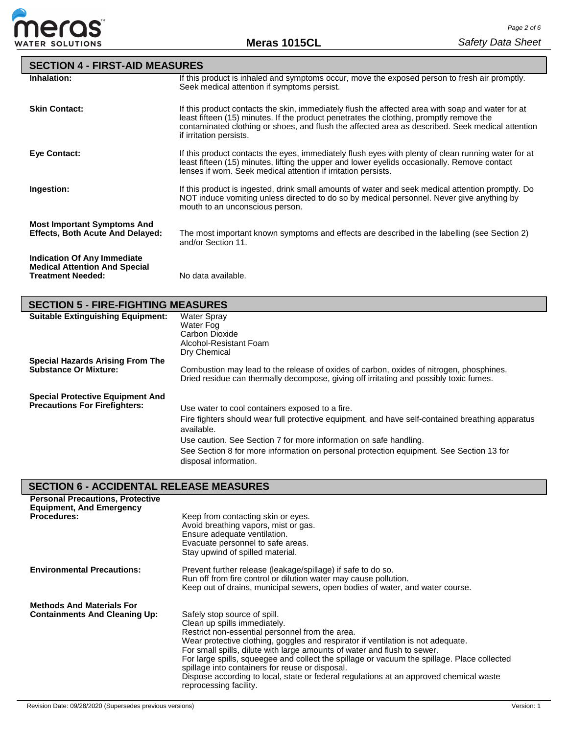

| <b>SECTION 4 - FIRST-AID MEASURES</b>                                                                  |                                                                                                                                                                                                                                                                                                                             |
|--------------------------------------------------------------------------------------------------------|-----------------------------------------------------------------------------------------------------------------------------------------------------------------------------------------------------------------------------------------------------------------------------------------------------------------------------|
| Inhalation:                                                                                            | If this product is inhaled and symptoms occur, move the exposed person to fresh air promptly.<br>Seek medical attention if symptoms persist.                                                                                                                                                                                |
| <b>Skin Contact:</b>                                                                                   | If this product contacts the skin, immediately flush the affected area with soap and water for at<br>least fifteen (15) minutes. If the product penetrates the clothing, promptly remove the<br>contaminated clothing or shoes, and flush the affected area as described. Seek medical attention<br>if irritation persists. |
| <b>Eve Contact:</b>                                                                                    | If this product contacts the eyes, immediately flush eyes with plenty of clean running water for at<br>least fifteen (15) minutes, lifting the upper and lower eyelids occasionally. Remove contact<br>lenses if worn. Seek medical attention if irritation persists.                                                       |
| Ingestion:                                                                                             | If this product is ingested, drink small amounts of water and seek medical attention promptly. Do<br>NOT induce vomiting unless directed to do so by medical personnel. Never give anything by<br>mouth to an unconscious person.                                                                                           |
| <b>Most Important Symptoms And</b><br><b>Effects, Both Acute And Delayed:</b>                          | The most important known symptoms and effects are described in the labelling (see Section 2)<br>and/or Section 11.                                                                                                                                                                                                          |
| <b>Indication Of Any Immediate</b><br><b>Medical Attention And Special</b><br><b>Treatment Needed:</b> | No data available.                                                                                                                                                                                                                                                                                                          |

# **SECTION 5 - FIRE-FIGHTING MEASURES**

| <b>Suitable Extinguishing Equipment:</b> | Water Spray<br>Water Fog<br>Carbon Dioxide<br>Alcohol-Resistant Foam<br>Dry Chemical                                                                                              |
|------------------------------------------|-----------------------------------------------------------------------------------------------------------------------------------------------------------------------------------|
| <b>Special Hazards Arising From The</b>  |                                                                                                                                                                                   |
| <b>Substance Or Mixture:</b>             | Combustion may lead to the release of oxides of carbon, oxides of nitrogen, phosphines.<br>Dried residue can thermally decompose, giving off irritating and possibly toxic fumes. |
| <b>Special Protective Equipment And</b>  |                                                                                                                                                                                   |
| <b>Precautions For Firefighters:</b>     | Use water to cool containers exposed to a fire.                                                                                                                                   |
|                                          | Fire fighters should wear full protective equipment, and have self-contained breathing apparatus<br>available.                                                                    |
|                                          | Use caution. See Section 7 for more information on safe handling.                                                                                                                 |
|                                          | See Section 8 for more information on personal protection equipment. See Section 13 for<br>disposal information.                                                                  |

# **SECTION 6 - ACCIDENTAL RELEASE MEASURES**

| <b>Personal Precautions, Protective</b><br><b>Equipment, And Emergency</b><br><b>Procedures:</b> | Keep from contacting skin or eyes.<br>Avoid breathing vapors, mist or gas.<br>Ensure adequate ventilation.<br>Evacuate personnel to safe areas.<br>Stay upwind of spilled material.                                                                                                                                                                                                                                                                                                                                                                   |
|--------------------------------------------------------------------------------------------------|-------------------------------------------------------------------------------------------------------------------------------------------------------------------------------------------------------------------------------------------------------------------------------------------------------------------------------------------------------------------------------------------------------------------------------------------------------------------------------------------------------------------------------------------------------|
| <b>Environmental Precautions:</b>                                                                | Prevent further release (leakage/spillage) if safe to do so.<br>Run off from fire control or dilution water may cause pollution.<br>Keep out of drains, municipal sewers, open bodies of water, and water course.                                                                                                                                                                                                                                                                                                                                     |
| <b>Methods And Materials For</b><br><b>Containments And Cleaning Up:</b>                         | Safely stop source of spill.<br>Clean up spills immediately.<br>Restrict non-essential personnel from the area.<br>Wear protective clothing, goggles and respirator if ventilation is not adequate.<br>For small spills, dilute with large amounts of water and flush to sewer.<br>For large spills, squeegee and collect the spillage or vacuum the spillage. Place collected<br>spillage into containers for reuse or disposal.<br>Dispose according to local, state or federal regulations at an approved chemical waste<br>reprocessing facility. |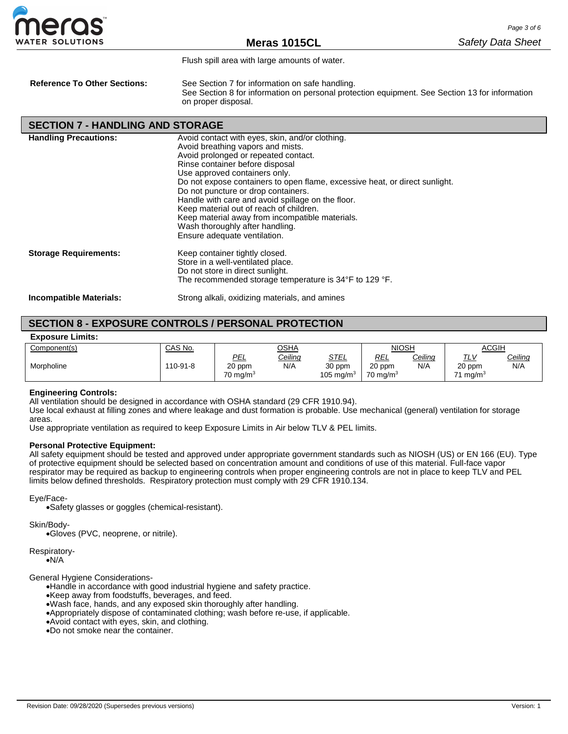

Flush spill area with large amounts of water.

**Reference To Other Sections:** See Section 7 for information on safe handling. See Section 8 for information on personal protection equipment. See Section 13 for information on proper disposal.

#### **SECTION 7 - HANDLING AND STORAGE**

| <b>Handling Precautions:</b>   | Avoid contact with eyes, skin, and/or clothing.                             |
|--------------------------------|-----------------------------------------------------------------------------|
|                                | Avoid breathing vapors and mists.                                           |
|                                | Avoid prolonged or repeated contact.                                        |
|                                | Rinse container before disposal                                             |
|                                | Use approved containers only.                                               |
|                                | Do not expose containers to open flame, excessive heat, or direct sunlight. |
|                                | Do not puncture or drop containers.                                         |
|                                | Handle with care and avoid spillage on the floor.                           |
|                                | Keep material out of reach of children.                                     |
|                                | Keep material away from incompatible materials.                             |
|                                | Wash thoroughly after handling.                                             |
|                                | Ensure adequate ventilation.                                                |
|                                |                                                                             |
| <b>Storage Requirements:</b>   | Keep container tightly closed.                                              |
|                                | Store in a well-ventilated place.                                           |
|                                | Do not store in direct sunlight.                                            |
|                                | The recommended storage temperature is 34°F to 129 °F.                      |
| <b>Incompatible Materials:</b> | Strong alkali, oxidizing materials, and amines                              |
|                                |                                                                             |

## **SECTION 8 - EXPOSURE CONTROLS / PERSONAL PROTECTION**

#### **Exposure Limits:**

| Component(s) | CAS No.  | <u>OSHA</u>                          |                | <b>NIOSH</b>                          |                                             | <b>ACGIH</b>   |                                            |                       |
|--------------|----------|--------------------------------------|----------------|---------------------------------------|---------------------------------------------|----------------|--------------------------------------------|-----------------------|
| Morpholine   | 110-91-8 | PEL<br>20 ppm<br>$70 \text{ mq/m}^3$ | Ceiling<br>N/A | <u>STEL</u><br>30 ppm<br>105 mg/m $3$ | <b>REL</b><br>20 ppm<br>$70 \text{ mg/m}^3$ | Ceiling<br>N/A | 7 L V<br>20 ppm<br>mq/m <sup>3</sup><br>74 | <b>Ceiling</b><br>N/A |

#### **Engineering Controls:**

All ventilation should be designed in accordance with OSHA standard (29 CFR 1910.94).

Use local exhaust at filling zones and where leakage and dust formation is probable. Use mechanical (general) ventilation for storage areas.

Use appropriate ventilation as required to keep Exposure Limits in Air below TLV & PEL limits.

#### **Personal Protective Equipment:**

All safety equipment should be tested and approved under appropriate government standards such as NIOSH (US) or EN 166 (EU). Type of protective equipment should be selected based on concentration amount and conditions of use of this material. Full-face vapor respirator may be required as backup to engineering controls when proper engineering controls are not in place to keep TLV and PEL limits below defined thresholds. Respiratory protection must comply with 29 CFR 1910.134.

Eye/Face-

•Safety glasses or goggles (chemical-resistant).

Skin/Body-

•Gloves (PVC, neoprene, or nitrile).

Respiratory- •N/A

General Hygiene Considerations-

•Handle in accordance with good industrial hygiene and safety practice.

- •Keep away from foodstuffs, beverages, and feed.
- •Wash face, hands, and any exposed skin thoroughly after handling.
- •Appropriately dispose of contaminated clothing; wash before re-use, if applicable.
- •Avoid contact with eyes, skin, and clothing.
- •Do not smoke near the container.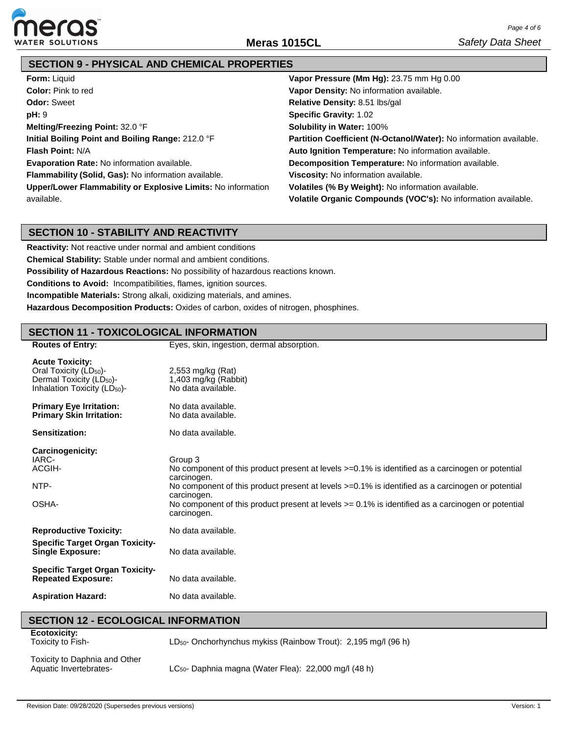

# **SECTION 9 - PHYSICAL AND CHEMICAL PROPERTIES**

| <b>Form: Liquid</b>                                          | Vapor Pressure (Mm Hg): 23.75 mm Hg 0.00                           |
|--------------------------------------------------------------|--------------------------------------------------------------------|
| <b>Color:</b> Pink to red                                    | Vapor Density: No information available.                           |
| <b>Odor: Sweet</b>                                           | Relative Density: 8.51 lbs/gal                                     |
| pH: 9                                                        | <b>Specific Gravity: 1.02</b>                                      |
| Melting/Freezing Point: 32.0 °F                              | <b>Solubility in Water: 100%</b>                                   |
| Initial Boiling Point and Boiling Range: 212.0 °F            | Partition Coefficient (N-Octanol/Water): No information available. |
| <b>Flash Point: N/A</b>                                      | Auto Ignition Temperature: No information available.               |
| Evaporation Rate: No information available.                  | <b>Decomposition Temperature:</b> No information available.        |
| Flammability (Solid, Gas): No information available.         | Viscosity: No information available.                               |
| Upper/Lower Flammability or Explosive Limits: No information | Volatiles (% By Weight): No information available.                 |
| available.                                                   | Volatile Organic Compounds (VOC's): No information available.      |

### **SECTION 10 - STABILITY AND REACTIVITY**

**Reactivity:** Not reactive under normal and ambient conditions **Chemical Stability:** Stable under normal and ambient conditions. **Possibility of Hazardous Reactions:** No possibility of hazardous reactions known. **Conditions to Avoid:** Incompatibilities, flames, ignition sources. **Incompatible Materials:** Strong alkali, oxidizing materials, and amines. **Hazardous Decomposition Products:** Oxides of carbon, oxides of nitrogen, phosphines.

### **SECTION 11 - TOXICOLOGICAL INFORMATION**

| <b>Routes of Entry:</b>                                                                                                                          | Eyes, skin, ingestion, dermal absorption.                                                                                                                                                                                                                                                                                                                                      |
|--------------------------------------------------------------------------------------------------------------------------------------------------|--------------------------------------------------------------------------------------------------------------------------------------------------------------------------------------------------------------------------------------------------------------------------------------------------------------------------------------------------------------------------------|
| <b>Acute Toxicity:</b><br>Oral Toxicity (LD <sub>50</sub> )-<br>Dermal Toxicity (LD <sub>50</sub> )-<br>Inhalation Toxicity (LD <sub>50</sub> )- | 2,553 mg/kg (Rat)<br>1,403 mg/kg (Rabbit)<br>No data available.                                                                                                                                                                                                                                                                                                                |
| <b>Primary Eye Irritation:</b><br><b>Primary Skin Irritation:</b>                                                                                | No data available.<br>No data available.                                                                                                                                                                                                                                                                                                                                       |
| Sensitization:                                                                                                                                   | No data available.                                                                                                                                                                                                                                                                                                                                                             |
| Carcinogenicity:<br>IARC-<br>ACGIH-<br>NTP-<br>OSHA-                                                                                             | Group 3<br>No component of this product present at levels >=0.1% is identified as a carcinogen or potential<br>carcinogen.<br>No component of this product present at levels $>=0.1\%$ is identified as a carcinogen or potential<br>carcinogen.<br>No component of this product present at levels $\epsilon$ = 0.1% is identified as a carcinogen or potential<br>carcinogen. |
| <b>Reproductive Toxicity:</b>                                                                                                                    | No data available.                                                                                                                                                                                                                                                                                                                                                             |
| <b>Specific Target Organ Toxicity-</b><br><b>Single Exposure:</b>                                                                                | No data available.                                                                                                                                                                                                                                                                                                                                                             |
| <b>Specific Target Organ Toxicity-</b><br><b>Repeated Exposure:</b>                                                                              | No data available.                                                                                                                                                                                                                                                                                                                                                             |
| <b>Aspiration Hazard:</b>                                                                                                                        | No data available.                                                                                                                                                                                                                                                                                                                                                             |

#### **SECTION 12 - ECOLOGICAL INFORMATION**

| <b>Ecotoxicity:</b><br>Toxicity to Fish- |  |
|------------------------------------------|--|
|                                          |  |

LD50- Onchorhynchus mykiss (Rainbow Trout): 2,195 mg/l (96 h)

Toxicity to Daphnia and Other Aquatic Invertebrates-

LC<sub>50</sub>- Daphnia magna (Water Flea): 22,000 mg/l (48 h)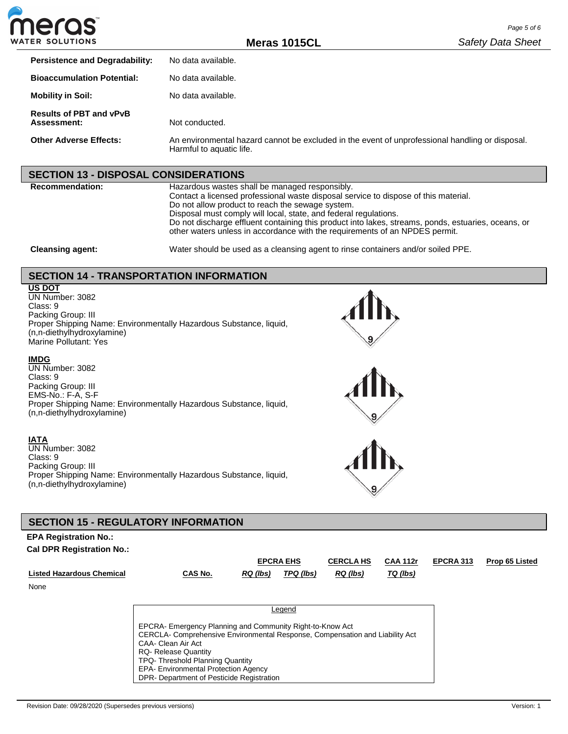

**Meras 1015CL**

| <b>Persistence and Degradability:</b>         | No data available.                                                                                                          |
|-----------------------------------------------|-----------------------------------------------------------------------------------------------------------------------------|
| <b>Bioaccumulation Potential:</b>             | No data available.                                                                                                          |
| <b>Mobility in Soil:</b>                      | No data available.                                                                                                          |
| <b>Results of PBT and vPvB</b><br>Assessment: | Not conducted.                                                                                                              |
| Other Adverse Effects:                        | An environmental hazard cannot be excluded in the event of unprofessional handling or disposal.<br>Harmful to aquatic life. |

#### **SECTION 13 - DISPOSAL CONSIDERATIONS**

**Recommendation:** Hazardous wastes shall be managed responsibly. Contact a licensed professional waste disposal service to dispose of this material. Do not allow product to reach the sewage system. Disposal must comply will local, state, and federal regulations. Do not discharge effluent containing this product into lakes, streams, ponds, estuaries, oceans, or other waters unless in accordance with the requirements of an NPDES permit.

**Cleansing agent:** Water should be used as a cleansing agent to rinse containers and/or soiled PPE.

### **SECTION 14 - TRANSPORTATION INFORMATION**

#### **US DOT**

UN Number: 3082 Class: 9 Packing Group: III Proper Shipping Name: Environmentally Hazardous Substance, liquid, (n,n-diethylhydroxylamine) Marine Pollutant: Yes

#### **IMDG**

UN Number: 3082 Class: 9 Packing Group: III EMS-No.: F-A, S-F Proper Shipping Name: Environmentally Hazardous Substance, liquid, (n,n-diethylhydroxylamine)

#### **IATA**

UN Number: 3082 Class: 9 Packing Group: III Proper Shipping Name: Environmentally Hazardous Substance, liquid, (n,n-diethylhydroxylamine)







#### **SECTION 15 - REGULATORY INFORMATION**

#### **EPA Registration No.:**

**Cal DPR Registration No.:**

|                                  |                                                                                                                                                                                                                                                                                                                               |                 | <b>EPCRA EHS</b> | <b>CERCLA HS</b> | <b>CAA 112r</b> | EPCRA 313 | Prop 65 Listed |
|----------------------------------|-------------------------------------------------------------------------------------------------------------------------------------------------------------------------------------------------------------------------------------------------------------------------------------------------------------------------------|-----------------|------------------|------------------|-----------------|-----------|----------------|
| <b>Listed Hazardous Chemical</b> | CAS No.                                                                                                                                                                                                                                                                                                                       | <b>RQ</b> (lbs) | TPQ (lbs)        | $RQ$ (lbs)       | TQ (lbs)        |           |                |
| None                             |                                                                                                                                                                                                                                                                                                                               |                 |                  |                  |                 |           |                |
|                                  |                                                                                                                                                                                                                                                                                                                               |                 |                  |                  |                 |           |                |
|                                  |                                                                                                                                                                                                                                                                                                                               |                 | Legend           |                  |                 |           |                |
|                                  | EPCRA- Emergency Planning and Community Right-to-Know Act<br>CERCLA- Comprehensive Environmental Response, Compensation and Liability Act<br>CAA- Clean Air Act<br><b>RQ-</b> Release Quantity<br>TPQ-Threshold Planning Quantity<br><b>EPA- Environmental Protection Agency</b><br>DPR- Department of Pesticide Registration |                 |                  |                  |                 |           |                |